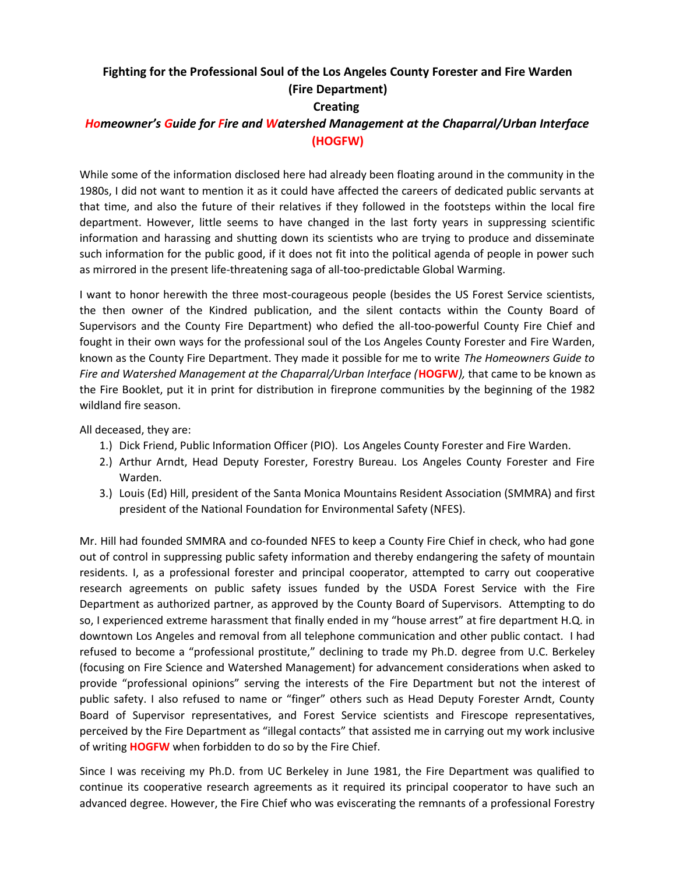## **Fighting for the Professional Soul of the Los Angeles County Forester and Fire Warden (Fire Department)**

## **Creating**

## *Homeowner's Guide for Fire and Watershed Management at the Chaparral/Urban Interface* **(HOGFW)**

While some of the information disclosed here had already been floating around in the community in the 1980s, I did not want to mention it as it could have affected the careers of dedicated public servants at that time, and also the future of their relatives if they followed in the footsteps within the local fire department. However, little seems to have changed in the last forty years in suppressing scientific information and harassing and shutting down its scientists who are trying to produce and disseminate such information for the public good, if it does not fit into the political agenda of people in power such as mirrored in the present life-threatening saga of all-too-predictable Global Warming.

I want to honor herewith the three most-courageous people (besides the US Forest Service scientists, the then owner of the Kindred publication, and the silent contacts within the County Board of Supervisors and the County Fire Department) who defied the all-too-powerful County Fire Chief and fought in their own ways for the professional soul of the Los Angeles County Forester and Fire Warden, known as the County Fire Department. They made it possible for me to write *The Homeowners Guide to Fire and Watershed Management at the Chaparral/Urban Interface (***HOGFW***),* that came to be known as the Fire Booklet, put it in print for distribution in fireprone communities by the beginning of the 1982 wildland fire season.

All deceased, they are:

- 1.) Dick Friend, Public Information Officer (PIO). Los Angeles County Forester and Fire Warden.
- 2.) Arthur Arndt, Head Deputy Forester, Forestry Bureau. Los Angeles County Forester and Fire Warden.
- 3.) Louis (Ed) Hill, president of the Santa Monica Mountains Resident Association (SMMRA) and first president of the National Foundation for Environmental Safety (NFES).

Mr. Hill had founded SMMRA and co-founded NFES to keep a County Fire Chief in check, who had gone out of control in suppressing public safety information and thereby endangering the safety of mountain residents. I, as a professional forester and principal cooperator, attempted to carry out cooperative research agreements on public safety issues funded by the USDA Forest Service with the Fire Department as authorized partner, as approved by the County Board of Supervisors. Attempting to do so, I experienced extreme harassment that finally ended in my "house arrest" at fire department H.Q. in downtown Los Angeles and removal from all telephone communication and other public contact. I had refused to become a "professional prostitute," declining to trade my Ph.D. degree from U.C. Berkeley (focusing on Fire Science and Watershed Management) for advancement considerations when asked to provide "professional opinions" serving the interests of the Fire Department but not the interest of public safety. I also refused to name or "finger" others such as Head Deputy Forester Arndt, County Board of Supervisor representatives, and Forest Service scientists and Firescope representatives, perceived by the Fire Department as "illegal contacts" that assisted me in carrying out my work inclusive of writing **HOGFW** when forbidden to do so by the Fire Chief.

Since I was receiving my Ph.D. from UC Berkeley in June 1981, the Fire Department was qualified to continue its cooperative research agreements as it required its principal cooperator to have such an advanced degree. However, the Fire Chief who was eviscerating the remnants of a professional Forestry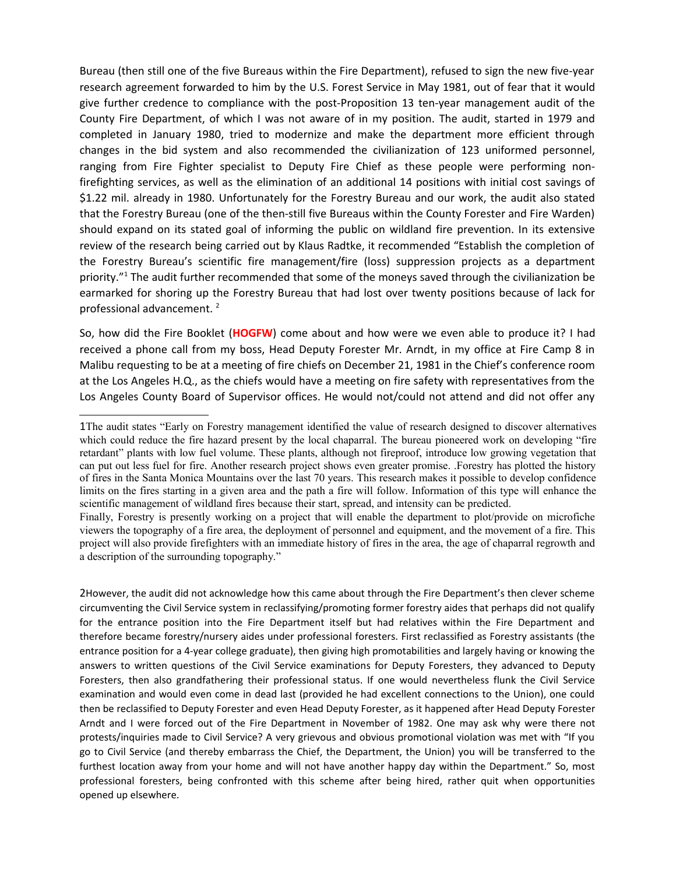Bureau (then still one of the five Bureaus within the Fire Department), refused to sign the new five-year research agreement forwarded to him by the U.S. Forest Service in May 1981, out of fear that it would give further credence to compliance with the post-Proposition 13 ten-year management audit of the County Fire Department, of which I was not aware of in my position. The audit, started in 1979 and completed in January 1980, tried to modernize and make the department more efficient through changes in the bid system and also recommended the civilianization of 123 uniformed personnel, ranging from Fire Fighter specialist to Deputy Fire Chief as these people were performing nonfirefighting services, as well as the elimination of an additional 14 positions with initial cost savings of \$1.22 mil. already in 1980. Unfortunately for the Forestry Bureau and our work, the audit also stated that the Forestry Bureau (one of the then-still five Bureaus within the County Forester and Fire Warden) should expand on its stated goal of informing the public on wildland fire prevention. In its extensive review of the research being carried out by Klaus Radtke, it recommended "Establish the completion of the Forestry Bureau's scientific fire management/fire (loss) suppression projects as a department priority."<sup>[1](#page-1-0)</sup> The audit further recommended that some of the moneys saved through the civilianization be earmarked for shoring up the Forestry Bureau that had lost over twenty positions because of lack for professional advancement.<sup>[2](#page-1-1)</sup>

So, how did the Fire Booklet (**HOGFW**) come about and how were we even able to produce it? I had received a phone call from my boss, Head Deputy Forester Mr. Arndt, in my office at Fire Camp 8 in Malibu requesting to be at a meeting of fire chiefs on December 21, 1981 in the Chief's conference room at the Los Angeles H.Q., as the chiefs would have a meeting on fire safety with representatives from the Los Angeles County Board of Supervisor offices. He would not/could not attend and did not offer any

<span id="page-1-1"></span>2However, the audit did not acknowledge how this came about through the Fire Department's then clever scheme circumventing the Civil Service system in reclassifying/promoting former forestry aides that perhaps did not qualify for the entrance position into the Fire Department itself but had relatives within the Fire Department and therefore became forestry/nursery aides under professional foresters. First reclassified as Forestry assistants (the entrance position for a 4-year college graduate), then giving high promotabilities and largely having or knowing the answers to written questions of the Civil Service examinations for Deputy Foresters, they advanced to Deputy Foresters, then also grandfathering their professional status. If one would nevertheless flunk the Civil Service examination and would even come in dead last (provided he had excellent connections to the Union), one could then be reclassified to Deputy Forester and even Head Deputy Forester, as it happened after Head Deputy Forester Arndt and I were forced out of the Fire Department in November of 1982. One may ask why were there not protests/inquiries made to Civil Service? A very grievous and obvious promotional violation was met with "If you go to Civil Service (and thereby embarrass the Chief, the Department, the Union) you will be transferred to the furthest location away from your home and will not have another happy day within the Department." So, most professional foresters, being confronted with this scheme after being hired, rather quit when opportunities opened up elsewhere.

<span id="page-1-0"></span><sup>1</sup>The audit states "Early on Forestry management identified the value of research designed to discover alternatives which could reduce the fire hazard present by the local chaparral. The bureau pioneered work on developing "fire retardant" plants with low fuel volume. These plants, although not fireproof, introduce low growing vegetation that can put out less fuel for fire. Another research project shows even greater promise. .Forestry has plotted the history of fires in the Santa Monica Mountains over the last 70 years. This research makes it possible to develop confidence limits on the fires starting in a given area and the path a fire will follow. Information of this type will enhance the scientific management of wildland fires because their start, spread, and intensity can be predicted.

Finally, Forestry is presently working on a project that will enable the department to plot/provide on microfiche viewers the topography of a fire area, the deployment of personnel and equipment, and the movement of a fire. This project will also provide firefighters with an immediate history of fires in the area, the age of chaparral regrowth and a description of the surrounding topography."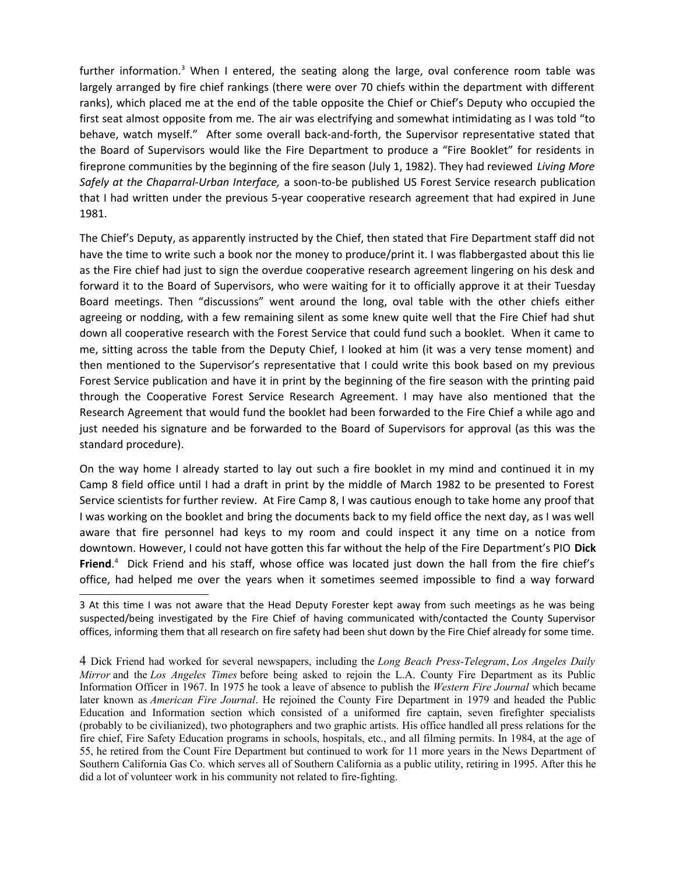further information.<sup>[3](#page-2-0)</sup> When I entered, the seating along the large, oval conference room table was largely arranged by fire chief rankings (there were over 70 chiefs within the department with different ranks), which placed me at the end of the table opposite the Chief or Chief's Deputy who occupied the first seat almost opposite from me. The air was electrifying and somewhat intimidating as I was told "to behave, watch myself." After some overall back-and-forth, the Supervisor representative stated that the Board of Supervisors would like the Fire Department to produce a "Fire Booklet" for residents in fireprone communities by the beginning of the fire season (July 1, 1982). They had reviewed *Living More Safely at the Chaparral-Urban Interface,* a soon-to-be published US Forest Service research publication that I had written under the previous 5-year cooperative research agreement that had expired in June 1981.

The Chief's Deputy, as apparently instructed by the Chief, then stated that Fire Department staff did not have the time to write such a book nor the money to produce/print it. I was flabbergasted about this lie as the Fire chief had just to sign the overdue cooperative research agreement lingering on his desk and forward it to the Board of Supervisors, who were waiting for it to officially approve it at their Tuesday Board meetings. Then "discussions" went around the long, oval table with the other chiefs either agreeing or nodding, with a few remaining silent as some knew quite well that the Fire Chief had shut down all cooperative research with the Forest Service that could fund such a booklet. When it came to me, sitting across the table from the Deputy Chief, I looked at him (it was a very tense moment) and then mentioned to the Supervisor's representative that I could write this book based on my previous Forest Service publication and have it in print by the beginning of the fire season with the printing paid through the Cooperative Forest Service Research Agreement. I may have also mentioned that the Research Agreement that would fund the booklet had been forwarded to the Fire Chief a while ago and just needed his signature and be forwarded to the Board of Supervisors for approval (as this was the standard procedure).

On the way home I already started to lay out such a fire booklet in my mind and continued it in my Camp 8 field office until I had a draft in print by the middle of March 1982 to be presented to Forest Service scientists for further review. At Fire Camp 8, I was cautious enough to take home any proof that I was working on the booklet and bring the documents back to my field office the next day, as I was well aware that fire personnel had keys to my room and could inspect it any time on a notice from downtown. However, I could not have gotten this far without the help of the Fire Department's PIO **Dick Friend**. [4](#page-2-1) Dick Friend and his staff, whose office was located just down the hall from the fire chief's office, had helped me over the years when it sometimes seemed impossible to find a way forward

<span id="page-2-0"></span><sup>3</sup> At this time I was not aware that the Head Deputy Forester kept away from such meetings as he was being suspected/being investigated by the Fire Chief of having communicated with/contacted the County Supervisor offices, informing them that all research on fire safety had been shut down by the Fire Chief already for some time.

<span id="page-2-1"></span><sup>4</sup> Dick Friend had worked for several newspapers, including the *Long Beach Press-Telegram*, *Los Angeles Daily Mirror* and the *Los Angeles Times* before being asked to rejoin the L.A. County Fire Department as its Public Information Officer in 1967. In 1975 he took a leave of absence to publish the *Western Fire Journal* which became later known as *American Fire Journal*. He rejoined the County Fire Department in 1979 and headed the Public Education and Information section which consisted of a uniformed fire captain, seven firefighter specialists (probably to be civilianized), two photographers and two graphic artists. His office handled all press relations for the fire chief, Fire Safety Education programs in schools, hospitals, etc., and all filming permits. In 1984, at the age of 55, he retired from the Count Fire Department but continued to work for 11 more years in the News Department of Southern California Gas Co. which serves all of Southern California as a public utility, retiring in 1995. After this he did a lot of volunteer work in his community not related to fire-fighting.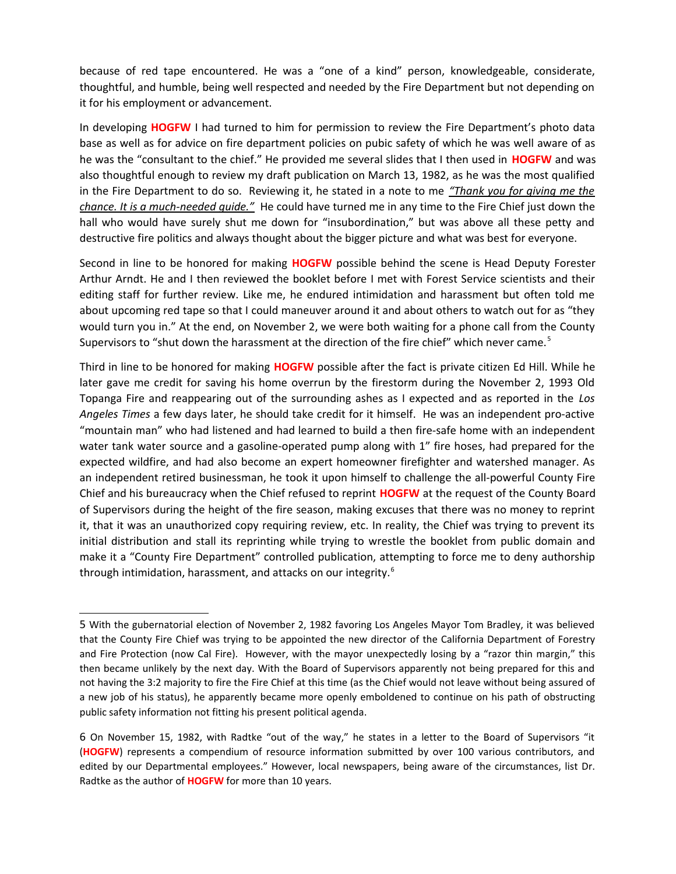because of red tape encountered. He was a "one of a kind" person, knowledgeable, considerate, thoughtful, and humble, being well respected and needed by the Fire Department but not depending on it for his employment or advancement.

In developing **HOGFW** I had turned to him for permission to review the Fire Department's photo data base as well as for advice on fire department policies on pubic safety of which he was well aware of as he was the "consultant to the chief." He provided me several slides that I then used in **HOGFW** and was also thoughtful enough to review my draft publication on March 13, 1982, as he was the most qualified in the Fire Department to do so. Reviewing it, he stated in a note to me *"Thank you for giving me the chance. It is a much-needed guide."* He could have turned me in any time to the Fire Chief just down the hall who would have surely shut me down for "insubordination," but was above all these petty and destructive fire politics and always thought about the bigger picture and what was best for everyone.

Second in line to be honored for making **HOGFW** possible behind the scene is Head Deputy Forester Arthur Arndt. He and I then reviewed the booklet before I met with Forest Service scientists and their editing staff for further review. Like me, he endured intimidation and harassment but often told me about upcoming red tape so that I could maneuver around it and about others to watch out for as "they would turn you in." At the end, on November 2, we were both waiting for a phone call from the County Supervisors to "shut down the harassment at the direction of the fire chief" which never came.<sup>[5](#page-3-0)</sup>

Third in line to be honored for making **HOGFW** possible after the fact is private citizen Ed Hill. While he later gave me credit for saving his home overrun by the firestorm during the November 2, 1993 Old Topanga Fire and reappearing out of the surrounding ashes as I expected and as reported in the *Los Angeles Times* a few days later, he should take credit for it himself. He was an independent pro-active "mountain man" who had listened and had learned to build a then fire-safe home with an independent water tank water source and a gasoline-operated pump along with 1" fire hoses, had prepared for the expected wildfire, and had also become an expert homeowner firefighter and watershed manager. As an independent retired businessman, he took it upon himself to challenge the all-powerful County Fire Chief and his bureaucracy when the Chief refused to reprint **HOGFW** at the request of the County Board of Supervisors during the height of the fire season, making excuses that there was no money to reprint it, that it was an unauthorized copy requiring review, etc. In reality, the Chief was trying to prevent its initial distribution and stall its reprinting while trying to wrestle the booklet from public domain and make it a "County Fire Department" controlled publication, attempting to force me to deny authorship through intimidation, harassment, and attacks on our integrity.<sup>[6](#page-3-1)</sup>

<span id="page-3-0"></span><sup>5</sup> With the gubernatorial election of November 2, 1982 favoring Los Angeles Mayor Tom Bradley, it was believed that the County Fire Chief was trying to be appointed the new director of the California Department of Forestry and Fire Protection (now Cal Fire). However, with the mayor unexpectedly losing by a "razor thin margin," this then became unlikely by the next day. With the Board of Supervisors apparently not being prepared for this and not having the 3:2 majority to fire the Fire Chief at this time (as the Chief would not leave without being assured of a new job of his status), he apparently became more openly emboldened to continue on his path of obstructing public safety information not fitting his present political agenda.

<span id="page-3-1"></span><sup>6</sup> On November 15, 1982, with Radtke "out of the way," he states in a letter to the Board of Supervisors "it (**HOGFW**) represents a compendium of resource information submitted by over 100 various contributors, and edited by our Departmental employees." However, local newspapers, being aware of the circumstances, list Dr. Radtke as the author of **HOGFW** for more than 10 years.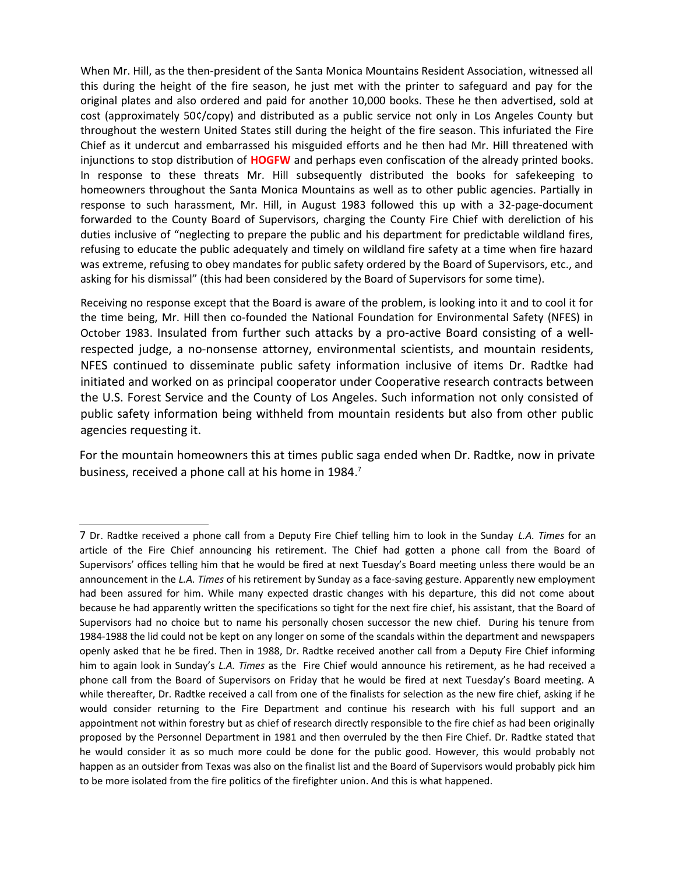When Mr. Hill, as the then-president of the Santa Monica Mountains Resident Association, witnessed all this during the height of the fire season, he just met with the printer to safeguard and pay for the original plates and also ordered and paid for another 10,000 books. These he then advertised, sold at cost (approximately 50¢/copy) and distributed as a public service not only in Los Angeles County but throughout the western United States still during the height of the fire season. This infuriated the Fire Chief as it undercut and embarrassed his misguided efforts and he then had Mr. Hill threatened with injunctions to stop distribution of **HOGFW** and perhaps even confiscation of the already printed books. In response to these threats Mr. Hill subsequently distributed the books for safekeeping to homeowners throughout the Santa Monica Mountains as well as to other public agencies. Partially in response to such harassment, Mr. Hill, in August 1983 followed this up with a 32-page-document forwarded to the County Board of Supervisors, charging the County Fire Chief with dereliction of his duties inclusive of "neglecting to prepare the public and his department for predictable wildland fires, refusing to educate the public adequately and timely on wildland fire safety at a time when fire hazard was extreme, refusing to obey mandates for public safety ordered by the Board of Supervisors, etc., and asking for his dismissal" (this had been considered by the Board of Supervisors for some time).

Receiving no response except that the Board is aware of the problem, is looking into it and to cool it for the time being, Mr. Hill then co-founded the National Foundation for Environmental Safety (NFES) in October 1983. Insulated from further such attacks by a pro-active Board consisting of a wellrespected judge, a no-nonsense attorney, environmental scientists, and mountain residents, NFES continued to disseminate public safety information inclusive of items Dr. Radtke had initiated and worked on as principal cooperator under Cooperative research contracts between the U.S. Forest Service and the County of Los Angeles. Such information not only consisted of public safety information being withheld from mountain residents but also from other public agencies requesting it.

For the mountain homeowners this at times public saga ended when Dr. Radtke, now in private business, received a phone call at his home in 1984.<sup>[7](#page-4-0)</sup>

<span id="page-4-0"></span><sup>7</sup> Dr. Radtke received a phone call from a Deputy Fire Chief telling him to look in the Sunday *L.A. Times* for an article of the Fire Chief announcing his retirement. The Chief had gotten a phone call from the Board of Supervisors' offices telling him that he would be fired at next Tuesday's Board meeting unless there would be an announcement in the *L.A. Times* of his retirement by Sunday as a face-saving gesture. Apparently new employment had been assured for him. While many expected drastic changes with his departure, this did not come about because he had apparently written the specifications so tight for the next fire chief, his assistant, that the Board of Supervisors had no choice but to name his personally chosen successor the new chief. During his tenure from 1984-1988 the lid could not be kept on any longer on some of the scandals within the department and newspapers openly asked that he be fired. Then in 1988, Dr. Radtke received another call from a Deputy Fire Chief informing him to again look in Sunday's *L.A. Times* as the Fire Chief would announce his retirement, as he had received a phone call from the Board of Supervisors on Friday that he would be fired at next Tuesday's Board meeting. A while thereafter, Dr. Radtke received a call from one of the finalists for selection as the new fire chief, asking if he would consider returning to the Fire Department and continue his research with his full support and an appointment not within forestry but as chief of research directly responsible to the fire chief as had been originally proposed by the Personnel Department in 1981 and then overruled by the then Fire Chief. Dr. Radtke stated that he would consider it as so much more could be done for the public good. However, this would probably not happen as an outsider from Texas was also on the finalist list and the Board of Supervisors would probably pick him to be more isolated from the fire politics of the firefighter union. And this is what happened.